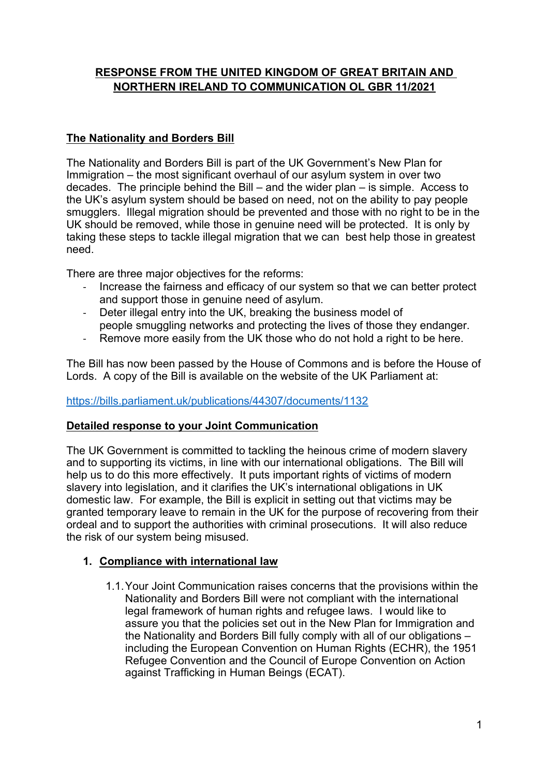# **RESPONSE FROM THE UNITED KINGDOM OF GREAT BRITAIN AND NORTHERN IRELAND TO COMMUNICATION OL GBR 11/2021**

# **The Nationality and Borders Bill**

The Nationality and Borders Bill is part of the UK Government'<sup>s</sup> New Plan for Immigration – the most significant overhaul of our asylum system in over two decades. The principle behind the Bill – and the wider plan – is simple. Access to the UK'<sup>s</sup> asylum system should be based on need, not on the ability to pay people smugglers. Illegal migration should be prevented and those with no right to be in the UK should be removed, while those in genuine need will be protected. It is only by taking these steps to tackle illegal migration that we can best help those in greatest need.

There are three major objectives for the reforms:

- - Increase the fairness and efficacy of our system so that we can better protect and support those in genuine need of asylum.
- - Deter illegal entry into the UK, breaking the business model of people smuggling networks and protecting the lives of those they endanger.
- -Remove more easily from the UK those who do not hold <sup>a</sup> right to be here.

The Bill has now been passed by the House of Commons and is before the House of Lords. A copy of the Bill is available on the website of the UK Parliament at:

# <https://bills.parliament.uk/publications/44307/documents/1132>

# **Detailed response to your Joint Communication**

The UK Government is committed to tackling the heinous crime of modern slavery and to supporting its victims, in line with our international obligations. The Bill will help us to do this more effectively. It puts important rights of victims of modern slavery into legislation, and it clarifies the UK'<sup>s</sup> international obligations in UK domestic law. For example, the Bill is explicit in setting out that victims may be granted temporary leave to remain in the UK for the purpose of recovering from their ordeal and to support the authorities with criminal prosecutions. It will also reduce the risk of our system being misused.

# **1. Compliance with international law**

1.1.Your Joint Communication raises concerns that the provisions within the Nationality and Borders Bill were not compliant with the international legal framework of human rights and refugee laws. I would like to assure you that the policies set out in the New Plan for Immigration and the Nationality and Borders Bill fully comply with all of our obligations – including the European Convention on Human Rights (ECHR), the 1951 Refugee Convention and the Council of Europe Convention on Action against Trafficking in Human Beings (ECAT).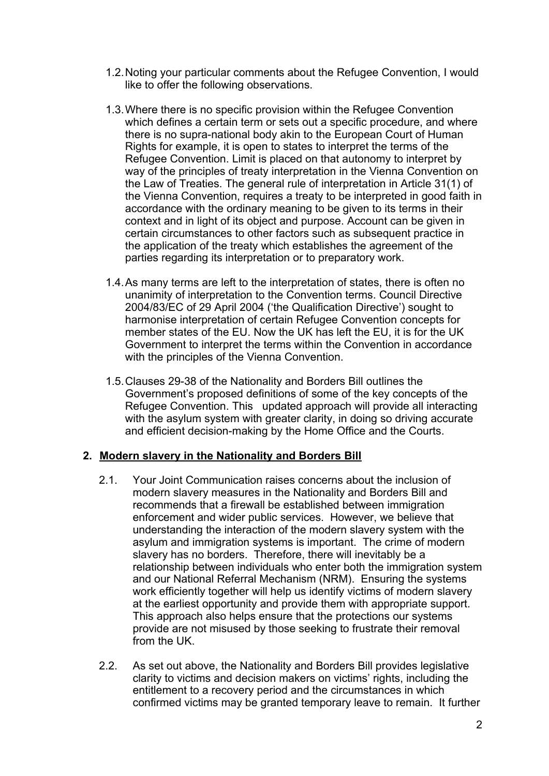- 1.2.Noting your particular comments about the Refugee Convention, I would like to offer the following observations.
- 1.3.Where there is no specific provision within the Refugee Convention which defines <sup>a</sup> certain term or sets out <sup>a</sup> specific procedure, and where there is no supra-national body akin to the European Court of Human Rights for example, it is open to states to interpret the terms of the Refugee Convention. Limit is placed on that autonomy to interpret by way of the principles of treaty interpretation in the Vienna Convention on the Law of Treaties. The general rule of interpretation in Article 31(1) of the Vienna Convention, requires <sup>a</sup> treaty to be interpreted in good faith in accordance with the ordinary meaning to be given to its terms in their context and in light of its object and purpose. Account can be given in certain circumstances to other factors such as subsequent practice in the application of the treaty which establishes the agreement of the parties regarding its interpretation or to preparatory work.
- 1.4.As many terms are left to the interpretation of states, there is often no unanimity of interpretation to the Convention terms. Council Directive 2004/83/EC of 29 April 2004 ('the Qualification Directive') sought to harmonise interpretation of certain Refugee Convention concepts for member states of the EU. Now the UK has left the EU, it is for the UK Government to interpret the terms within the Convention in accordance with the principles of the Vienna Convention.
- 1.5.Clauses 29-38 of the Nationality and Borders Bill outlines the Government'<sup>s</sup> proposed definitions of some of the key concepts of the Refugee Convention. This updated approach will provide all interacting with the asylum system with greater clarity, in doing so driving accurate and efficient decision-making by the Home Office and the Courts.

### **2. Modern slavery in the Nationality and Borders Bill**

- 2.1. Your Joint Communication raises concerns about the inclusion of modern slavery measures in the Nationality and Borders Bill and recommends that <sup>a</sup> firewall be established between immigration enforcement and wider public services. However, we believe that understanding the interaction of the modern slavery system with the asylum and immigration systems is important. The crime of modern slavery has no borders. Therefore, there will inevitably be <sup>a</sup> relationship between individuals who enter both the immigration system and our National Referral Mechanism (NRM). Ensuring the systems work efficiently together will help us identify victims of modern slavery at the earliest opportunity and provide them with appropriate support. This approach also helps ensure that the protections our systems provide are not misused by those seeking to frustrate their removal from the UK.
- 2.2. As set out above, the Nationality and Borders Bill provides legislative clarity to victims and decision makers on victims' rights, including the entitlement to <sup>a</sup> recovery period and the circumstances in which confirmed victims may be granted temporary leave to remain. It further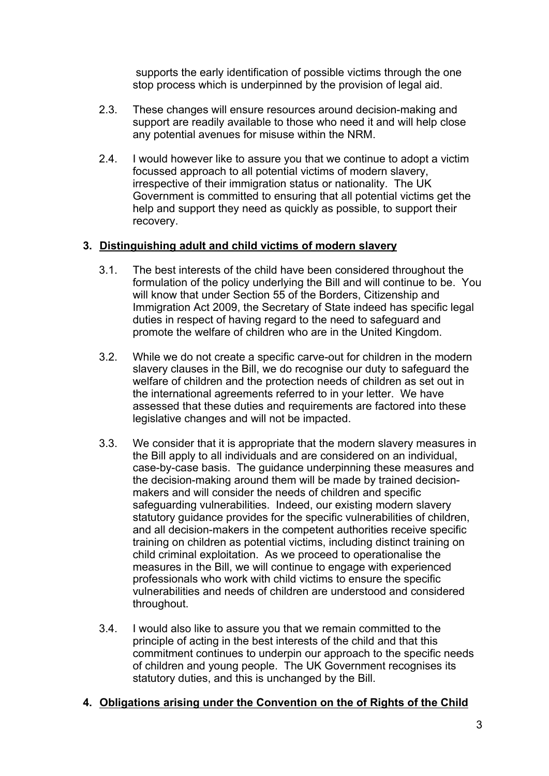supports the early identification of possible victims through the one stop process which is underpinned by the provision of legal aid.

- 2.3. These changes will ensure resources around decision-making and support are readily available to those who need it and will help close any potential avenues for misuse within the NRM.
- 2.4. I would however like to assure you that we continue to adopt <sup>a</sup> victim focussed approach to all potential victims of modern slavery, irrespective of their immigration status or nationality. The UK Government is committed to ensuring that all potential victims get the help and support they need as quickly as possible, to support their recovery.

### **3. Distinguishing adult and child victims of modern slavery**

- 3.1. The best interests of the child have been considered throughout the formulation of the policy underlying the Bill and will continue to be. You will know that under Section 55 of the Borders, Citizenship and Immigration Act 2009, the Secretary of State indeed has specific legal duties in respect of having regard to the need to safeguard and promote the welfare of children who are in the United Kingdom.
- 3.2. While we do not create <sup>a</sup> specific carve-out for children in the modern slavery clauses in the Bill, we do recognise our duty to safeguard the welfare of children and the protection needs of children as set out in the international agreements referred to in your letter. We have assessed that these duties and requirements are factored into these legislative changes and will not be impacted.
- 3.3. We consider that it is appropriate that the modern slavery measures in the Bill apply to all individuals and are considered on an individual, case-by-case basis. The guidance underpinning these measures and the decision-making around them will be made by trained decisionmakers and will consider the needs of children and specific safeguarding vulnerabilities. Indeed, our existing modern slavery statutory guidance provides for the specific vulnerabilities of children, and all decision-makers in the competent authorities receive specific training on children as potential victims, including distinct training on child criminal exploitation. As we proceed to operationalise the measures in the Bill, we will continue to engage with experienced professionals who work with child victims to ensure the specific vulnerabilities and needs of children are understood and considered throughout.
- 3.4. I would also like to assure you that we remain committed to the principle of acting in the best interests of the child and that this commitment continues to underpin our approach to the specific needs of children and young people. The UK Government recognises its statutory duties, and this is unchanged by the Bill.

# **4. Obligations arising under the Convention on the of Rights of the Child**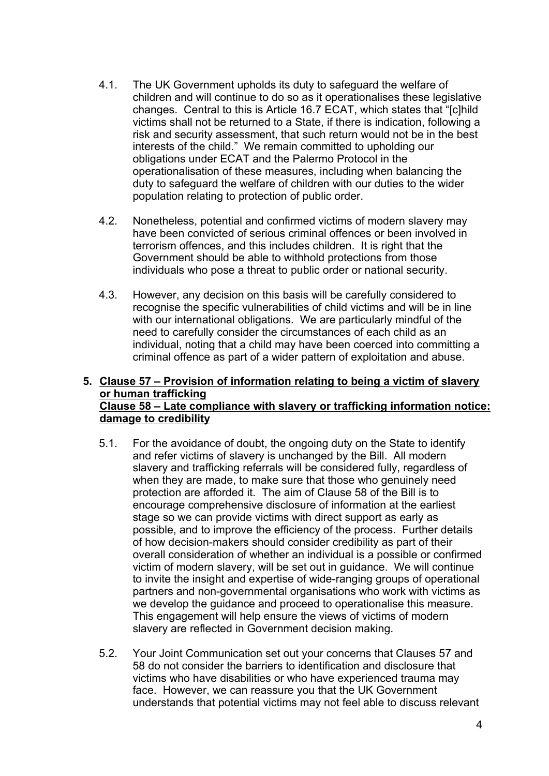- 4.1. The UK Government upholds its duty to safeguard the welfare of children and will continue to do so as it operationalises these legislative changes. Central to this is Article 16.7 ECAT, which states that "[c]hild victims shall not be returned to <sup>a</sup> State, if there is indication, following <sup>a</sup> risk and security assessment, that such return would not be in the best interests of the child." We remain committed to upholding our obligations under ECAT and the Palermo Protocol in the operationalisation of these measures, including when balancing the duty to safeguard the welfare of children with our duties to the wider population relating to protection of public order.
- 4.2. Nonetheless, potential and confirmed victims of modern slavery may have been convicted of serious criminal offences or been involved in terrorism offences, and this includes children. It is right that the Government should be able to withhold protections from those individuals who pose <sup>a</sup> threat to public order or national security.
- 4.3. However, any decision on this basis will be carefully considered to recognise the specific vulnerabilities of child victims and will be in line with our international obligations. We are particularly mindful of the need to carefully consider the circumstances of each child as an individual, noting that <sup>a</sup> child may have been coerced into committing <sup>a</sup> criminal offence as part of <sup>a</sup> wider pattern of exploitation and abuse.

#### **5. Clause 57 – Provision of information relating to being <sup>a</sup> victim of slavery or human trafficking Clause 58 – Late compliance with slavery or trafficking information notice: damage to credibility**

- 5.1. For the avoidance of doubt, the ongoing duty on the State to identify and refer victims of slavery is unchanged by the Bill. All modern slavery and trafficking referrals will be considered fully, regardless of when they are made, to make sure that those who genuinely need protection are afforded it. The aim of Clause 58 of the Bill is to encourage comprehensive disclosure of information at the earliest stage so we can provide victims with direct support as early as possible, and to improve the efficiency of the process. Further details of how decision-makers should consider credibility as part of their overall consideration of whether an individual is <sup>a</sup> possible or confirmed victim of modern slavery, will be set out in guidance. We will continue to invite the insight and expertise of wide-ranging groups of operational partners and non-governmental organisations who work with victims as we develop the guidance and proceed to operationalise this measure. This engagement will help ensure the views of victims of modern slavery are reflected in Government decision making.
- 5.2. Your Joint Communication set out your concerns that Clauses 57 and 58 do not consider the barriers to identification and disclosure that victims who have disabilities or who have experienced trauma may face. However, we can reassure you that the UK Government understands that potential victims may not feel able to discuss relevant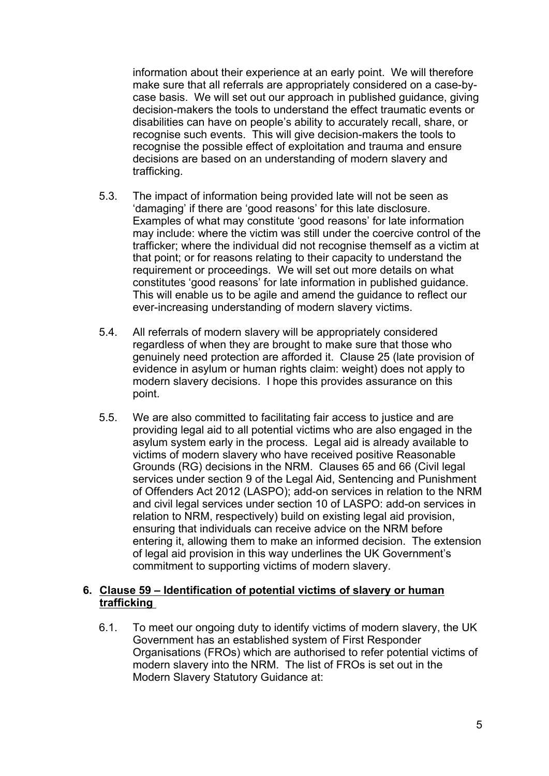information about their experience at an early point. We will therefore make sure that all referrals are appropriately considered on <sup>a</sup> case-bycase basis. We will set out our approach in published guidance, giving decision-makers the tools to understand the effect traumatic events or disabilities can have on people'<sup>s</sup> ability to accurately recall, share, or recognise such events. This will give decision-makers the tools to recognise the possible effect of exploitation and trauma and ensure decisions are based on an understanding of modern slavery and trafficking.

- 5.3. The impact of information being provided late will not be seen as 'damaging' if there are 'good reasons' for this late disclosure. Examples of what may constitute 'good reasons' for late information may include: where the victim was still under the coercive control of the trafficker; where the individual did not recognise themself as <sup>a</sup> victim at that point; or for reasons relating to their capacity to understand the requirement or proceedings. We will set out more details on what constitutes 'good reasons' for late information in published guidance. This will enable us to be agile and amend the guidance to reflect our ever-increasing understanding of modern slavery victims.
- 5.4. All referrals of modern slavery will be appropriately considered regardless of when they are brought to make sure that those who genuinely need protection are afforded it. Clause 25 (late provision of evidence in asylum or human rights claim: weight) does not apply to modern slavery decisions. I hope this provides assurance on this point.
- 5.5. We are also committed to facilitating fair access to justice and are providing legal aid to all potential victims who are also engaged in the asylum system early in the process. Legal aid is already available to victims of modern slavery who have received positive Reasonable Grounds (RG) decisions in the NRM. Clauses 65 and 66 (Civil legal services under section 9 of the Legal Aid, Sentencing and Punishment of Offenders Act 2012 (LASPO); add-on services in relation to the NRM and civil legal services under section 10 of LASPO: add-on services in relation to NRM, respectively) build on existing legal aid provision, ensuring that individuals can receive advice on the NRM before entering it, allowing them to make an informed decision. The extension of legal aid provision in this way underlines the UK Government'<sup>s</sup> commitment to supporting victims of modern slavery.

#### **6. Clause 59 – Identification of potential victims of slavery or human trafficking**

6.1. To meet our ongoing duty to identify victims of modern slavery, the UK Government has an established system of First Responder Organisations (FROs) which are authorised to refer potential victims of modern slavery into the NRM. The list of FROs is set out in the Modern Slavery Statutory Guidance at: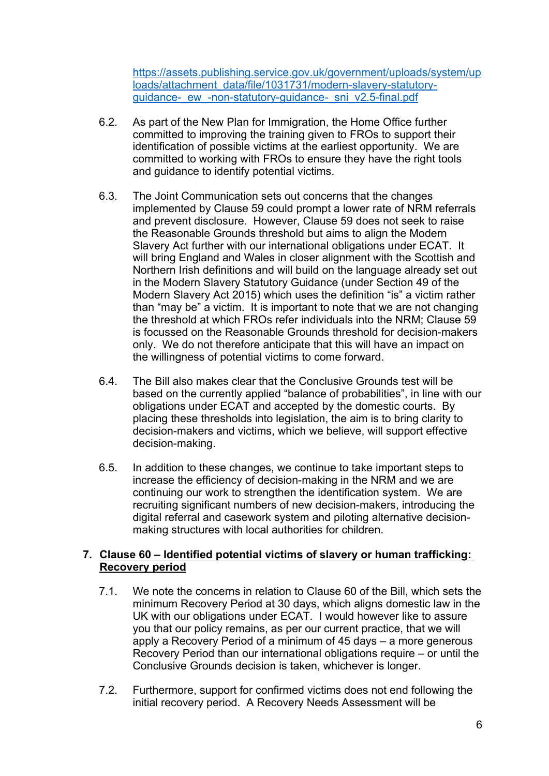[https://assets.publishing.service.gov.uk/government/uploads/system/up](https://assets.publishing.service.gov.uk/government/uploads/system/uploads/attachment_data/file/1031731/modern-slavery-statutory-guidance-_ew_-non-statutory-guidance-_sni_v2.5-final.pdf) [loads/attachment\\_data/file/1031731/modern-slavery-statutory](https://assets.publishing.service.gov.uk/government/uploads/system/uploads/attachment_data/file/1031731/modern-slavery-statutory-guidance-_ew_-non-statutory-guidance-_sni_v2.5-final.pdf)quidance- ew -non-statutory-guidance- sni\_v2.5-final.pdf

- 6.2. As part of the New Plan for Immigration, the Home Office further committed to improving the training given to FROs to support their identification of possible victims at the earliest opportunity. We are committed to working with FROs to ensure they have the right tools and guidance to identify potential victims.
- 6.3. The Joint Communication sets out concerns that the changes implemented by Clause 59 could prompt <sup>a</sup> lower rate of NRM referrals and prevent disclosure. However, Clause 59 does not seek to raise the Reasonable Grounds threshold but aims to align the Modern Slavery Act further with our international obligations under ECAT. It will bring England and Wales in closer alignment with the Scottish and Northern Irish definitions and will build on the language already set out in the Modern Slavery Statutory Guidance (under Section 49 of the Modern Slavery Act 2015) which uses the definition "is" <sup>a</sup> victim rather than "may be" <sup>a</sup> victim. It is important to note that we are not changing the threshold at which FROs refer individuals into the NRM; Clause 59 is focussed on the Reasonable Grounds threshold for decision-makers only. We do not therefore anticipate that this will have an impact on the willingness of potential victims to come forward.
- 6.4. The Bill also makes clear that the Conclusive Grounds test will be based on the currently applied "balance of probabilities", in line with our obligations under ECAT and accepted by the domestic courts. By placing these thresholds into legislation, the aim is to bring clarity to decision-makers and victims, which we believe, will support effective decision-making.
- 6.5. In addition to these changes, we continue to take important steps to increase the efficiency of decision-making in the NRM and we are continuing our work to strengthen the identification system. We are recruiting significant numbers of new decision-makers, introducing the digital referral and casework system and piloting alternative decisionmaking structures with local authorities for children.

### **7. Clause 60 – Identified potential victims of slavery or human trafficking: Recovery period**

- 7.1. We note the concerns in relation to Clause 60 of the Bill, which sets the minimum Recovery Period at 30 days, which aligns domestic law in the UK with our obligations under ECAT. I would however like to assure you that our policy remains, as per our current practice, that we will apply <sup>a</sup> Recovery Period of <sup>a</sup> minimum of 45 days – <sup>a</sup> more generous Recovery Period than our international obligations require – or until the Conclusive Grounds decision is taken, whichever is longer.
- 7.2. Furthermore, support for confirmed victims does not end following the initial recovery period. A Recovery Needs Assessment will be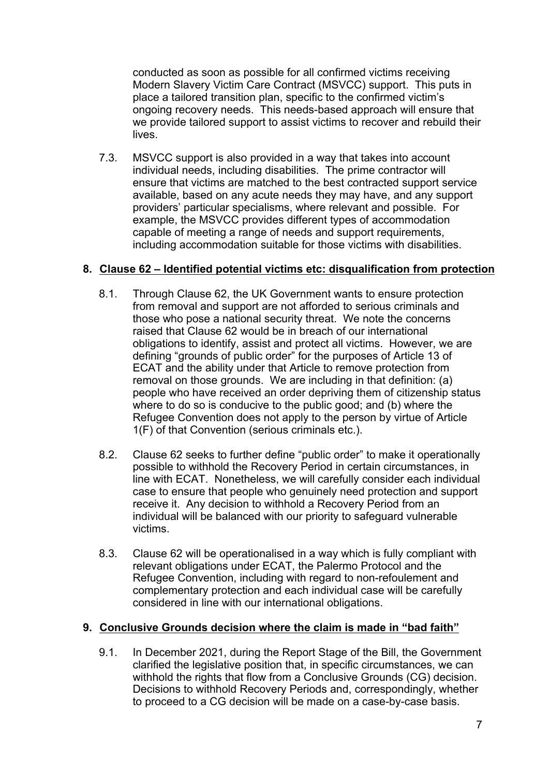conducted as soon as possible for all confirmed victims receiving Modern Slavery Victim Care Contract (MSVCC) support. This puts in place <sup>a</sup> tailored transition plan, specific to the confirmed victim'<sup>s</sup> ongoing recovery needs. This needs-based approach will ensure that we provide tailored support to assist victims to recover and rebuild their lives.

7.3. MSVCC support is also provided in <sup>a</sup> way that takes into account individual needs, including disabilities. The prime contractor will ensure that victims are matched to the best contracted support service available, based on any acute needs they may have, and any support providers' particular specialisms, where relevant and possible. For example, the MSVCC provides different types of accommodation capable of meeting <sup>a</sup> range of needs and support requirements, including accommodation suitable for those victims with disabilities.

### **8. Clause 62 – Identified potential victims etc: disqualification from protection**

- 8.1. Through Clause 62, the UK Government wants to ensure protection from removal and support are not afforded to serious criminals and those who pose <sup>a</sup> national security threat. We note the concerns raised that Clause 62 would be in breach of our international obligations to identify, assist and protect all victims. However, we are defining "grounds of public order" for the purposes of Article 13 of ECAT and the ability under that Article to remove protection from removal on those grounds. We are including in that definition: (a) people who have received an order depriving them of citizenship status where to do so is conducive to the public good; and (b) where the Refugee Convention does not apply to the person by virtue of Article 1(F) of that Convention (serious criminals etc.).
- 8.2. Clause 62 seeks to further define "public order" to make it operationally possible to withhold the Recovery Period in certain circumstances, in line with ECAT. Nonetheless, we will carefully consider each individual case to ensure that people who genuinely need protection and support receive it. Any decision to withhold <sup>a</sup> Recovery Period from an individual will be balanced with our priority to safeguard vulnerable victims.
- 8.3. Clause 62 will be operationalised in <sup>a</sup> way which is fully compliant with relevant obligations under ECAT, the Palermo Protocol and the Refugee Convention, including with regard to non-refoulement and complementary protection and each individual case will be carefully considered in line with our international obligations.

#### **9. Conclusive Grounds decision where the claim is made in "bad faith"**

9.1. In December 2021, during the Report Stage of the Bill, the Government clarified the legislative position that, in specific circumstances, we can withhold the rights that flow from <sup>a</sup> Conclusive Grounds (CG) decision. Decisions to withhold Recovery Periods and, correspondingly, whether to proceed to <sup>a</sup> CG decision will be made on <sup>a</sup> case-by-case basis.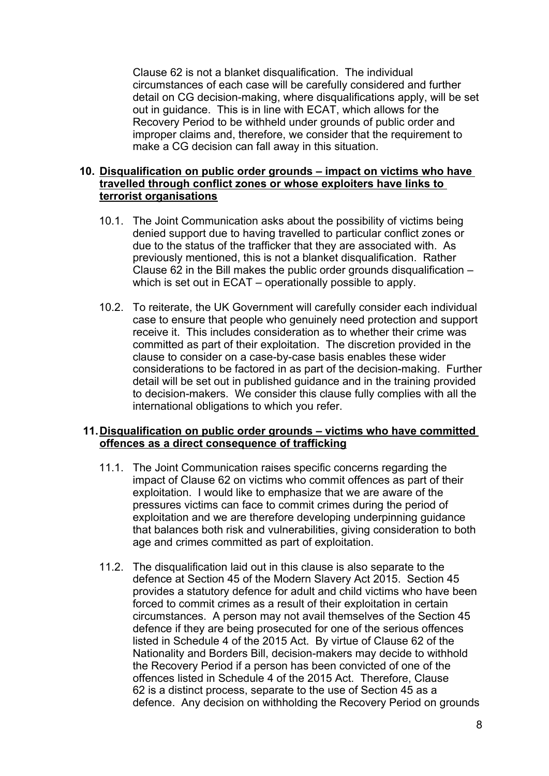Clause 62 is not <sup>a</sup> blanket disqualification. The individual circumstances of each case will be carefully considered and further detail on CG decision-making, where disqualifications apply, will be set out in guidance. This is in line with ECAT, which allows for the Recovery Period to be withheld under grounds of public order and improper claims and, therefore, we consider that the requirement to make <sup>a</sup> CG decision can fall away in this situation.

#### **10. Disqualification on public order grounds – impact on victims who have travelled through conflict zones or whose exploiters have links to terrorist organisations**

- 10.1. The Joint Communication asks about the possibility of victims being denied support due to having travelled to particular conflict zones or due to the status of the trafficker that they are associated with. As previously mentioned, this is not <sup>a</sup> blanket disqualification. Rather Clause 62 in the Bill makes the public order grounds disqualification – which is set out in ECAT – operationally possible to apply.
- 10.2. To reiterate, the UK Government will carefully consider each individual case to ensure that people who genuinely need protection and support receive it. This includes consideration as to whether their crime was committed as part of their exploitation. The discretion provided in the clause to consider on <sup>a</sup> case-by-case basis enables these wider considerations to be factored in as part of the decision-making. Further detail will be set out in published guidance and in the training provided to decision-makers. We consider this clause fully complies with all the international obligations to which you refer.

### **11.Disqualification on public order grounds – victims who have committed offences as <sup>a</sup> direct consequence of trafficking**

- 11.1. The Joint Communication raises specific concerns regarding the impact of Clause 62 on victims who commit offences as part of their exploitation. I would like to emphasize that we are aware of the pressures victims can face to commit crimes during the period of exploitation and we are therefore developing underpinning guidance that balances both risk and vulnerabilities, giving consideration to both age and crimes committed as part of exploitation.
- 11.2. The disqualification laid out in this clause is also separate to the defence at Section 45 of the Modern Slavery Act 2015. Section 45 provides <sup>a</sup> statutory defence for adult and child victims who have been forced to commit crimes as <sup>a</sup> result of their exploitation in certain circumstances. A person may not avail themselves of the Section 45 defence if they are being prosecuted for one of the serious offences listed in Schedule 4 of the 2015 Act. By virtue of Clause 62 of the Nationality and Borders Bill, decision-makers may decide to withhold the Recovery Period if <sup>a</sup> person has been convicted of one of the offences listed in Schedule 4 of the 2015 Act. Therefore, Clause 62 is <sup>a</sup> distinct process, separate to the use of Section 45 as <sup>a</sup> defence. Any decision on withholding the Recovery Period on grounds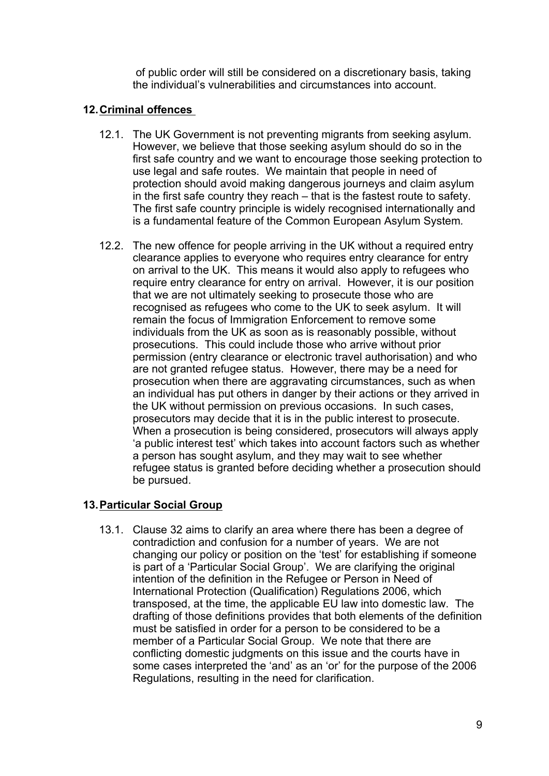of public order will still be considered on <sup>a</sup> discretionary basis, taking the individual's vulnerabilities and circumstances into account.

### **12.Criminal offences**

- 12.1. The UK Government is not preventing migrants from seeking asylum. However, we believe that those seeking asylum should do so in the first safe country and we want to encourage those seeking protection to use legal and safe routes. We maintain that people in need of protection should avoid making dangerous journeys and claim asylum in the first safe country they reach – that is the fastest route to safety. The first safe country principle is widely recognised internationally and is <sup>a</sup> fundamental feature of the Common European Asylum System*.*
- 12.2. The new offence for people arriving in the UK without <sup>a</sup> required entry clearance applies to everyone who requires entry clearance for entry on arrival to the UK. This means it would also apply to refugees who require entry clearance for entry on arrival. However, it is our position that we are not ultimately seeking to prosecute those who are recognised as refugees who come to the UK to seek asylum. It will remain the focus of Immigration Enforcement to remove some individuals from the UK as soon as is reasonably possible, without prosecutions. This could include those who arrive without prior permission (entry clearance or electronic travel authorisation) and who are not granted refugee status. However, there may be <sup>a</sup> need for prosecution when there are aggravating circumstances, such as when an individual has put others in danger by their actions or they arrived in the UK without permission on previous occasions. In such cases, prosecutors may decide that it is in the public interest to prosecute. When <sup>a</sup> prosecution is being considered, prosecutors will always apply '<sup>a</sup> public interest test' which takes into account factors such as whether <sup>a</sup> person has sought asylum, and they may wait to see whether refugee status is granted before deciding whether <sup>a</sup> prosecution should be pursued.

# **13.Particular Social Group**

13.1. Clause 32 aims to clarify an area where there has been <sup>a</sup> degree of contradiction and confusion for <sup>a</sup> number of years. We are not changing our policy or position on the 'test' for establishing if someone is part of <sup>a</sup> 'Particular Social Group'. We are clarifying the original intention of the definition in the Refugee or Person in Need of International Protection (Qualification) Regulations 2006, which transposed, at the time, the applicable EU law into domestic law. The drafting of those definitions provides that both elements of the definition must be satisfied in order for <sup>a</sup> person to be considered to be <sup>a</sup> member of <sup>a</sup> Particular Social Group. We note that there are conflicting domestic judgments on this issue and the courts have in some cases interpreted the 'and' as an 'or' for the purpose of the 2006 Regulations, resulting in the need for clarification.